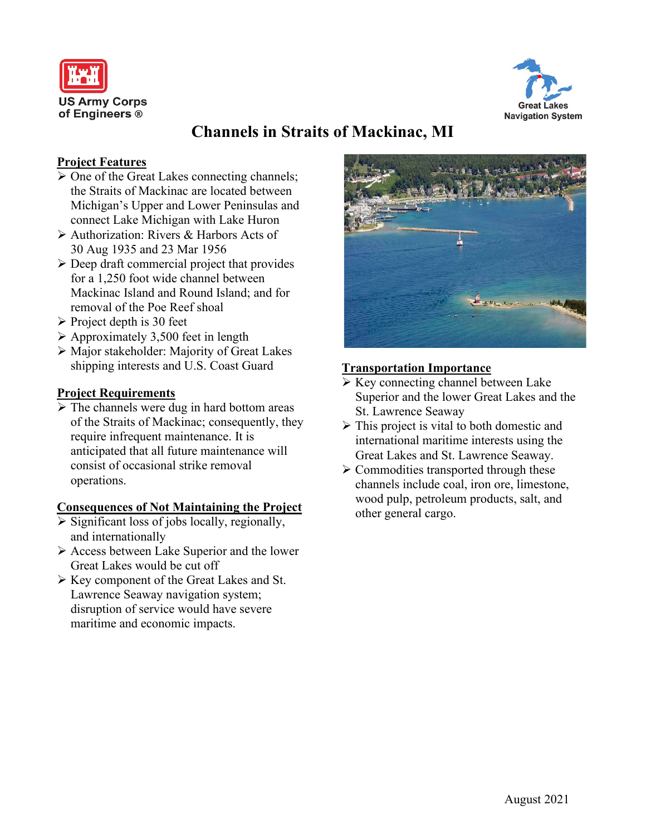



# **Channels in Straits of Mackinac, MI**

## **Project Features**

- $\triangleright$  One of the Great Lakes connecting channels; the Straits of Mackinac are located between Michigan's Upper and Lower Peninsulas and connect Lake Michigan with Lake Huron
- Authorization: Rivers & Harbors Acts of 30 Aug 1935 and 23 Mar 1956
- $\triangleright$  Deep draft commercial project that provides for a 1,250 foot wide channel between Mackinac Island and Round Island; and for removal of the Poe Reef shoal
- $\triangleright$  Project depth is 30 feet
- $\triangleright$  Approximately 3,500 feet in length
- Major stakeholder: Majority of Great Lakes shipping interests and U.S. Coast Guard

## **Project Requirements**

 $\triangleright$  The channels were dug in hard bottom areas of the Straits of Mackinac; consequently, they require infrequent maintenance. It is anticipated that all future maintenance will consist of occasional strike removal operations.

### **Consequences of Not Maintaining the Project**

- $\triangleright$  Significant loss of jobs locally, regionally, and internationally
- $\triangleright$  Access between Lake Superior and the lower Great Lakes would be cut off
- Key component of the Great Lakes and St. Lawrence Seaway navigation system; disruption of service would have severe maritime and economic impacts.



## **Transportation Importance**

- $\triangleright$  Key connecting channel between Lake Superior and the lower Great Lakes and the St. Lawrence Seaway
- $\triangleright$  This project is vital to both domestic and international maritime interests using the Great Lakes and St. Lawrence Seaway.
- $\triangleright$  Commodities transported through these channels include coal, iron ore, limestone, wood pulp, petroleum products, salt, and other general cargo.